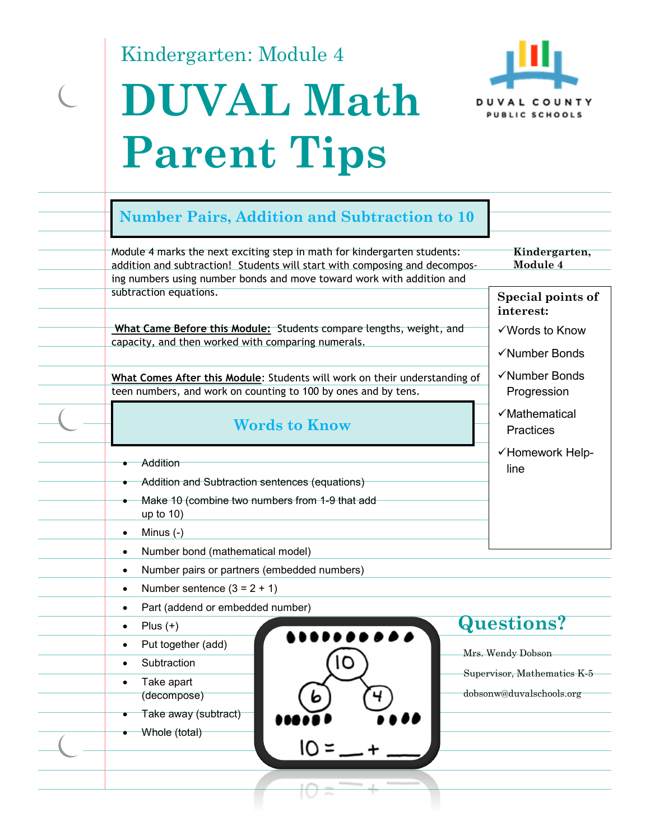Kindergarten: Module 4

 $\overline{C}$ 

# **DUVAL Math Parent Tips**



| <b>Number Pairs, Addition and Subtraction to 10</b>                                                                                                                                                                                                                                                      |                                                                                                   |  |
|----------------------------------------------------------------------------------------------------------------------------------------------------------------------------------------------------------------------------------------------------------------------------------------------------------|---------------------------------------------------------------------------------------------------|--|
| Module 4 marks the next exciting step in math for kindergarten students:<br>addition and subtraction! Students will start with composing and decompos-<br>ing numbers using number bonds and move toward work with addition and                                                                          | Kindergarten,<br>Module 4                                                                         |  |
| subtraction equations.                                                                                                                                                                                                                                                                                   | Special points of<br>interest:                                                                    |  |
| What Came Before this Module: Students compare lengths, weight, and<br>capacity, and then worked with comparing numerals.                                                                                                                                                                                | √Words to Know<br>√Number Bonds                                                                   |  |
| What Comes After this Module: Students will work on their understanding of<br>teen numbers, and work on counting to 100 by ones and by tens.                                                                                                                                                             | √Number Bonds<br>Progression                                                                      |  |
| <b>Words to Know</b>                                                                                                                                                                                                                                                                                     | √Mathematical<br><b>Practices</b>                                                                 |  |
| Addition<br>Addition and Subtraction sentences (equations)<br>Make 10 (combine two numbers from 1-9 that add<br>up to $10$ )<br>Minus $(-)$<br>$\bullet$                                                                                                                                                 | √Homework Help-<br>line                                                                           |  |
| Number bond (mathematical model)<br>$\bullet$<br>Number pairs or partners (embedded numbers)<br>$\bullet$                                                                                                                                                                                                |                                                                                                   |  |
| Number sentence $(3 = 2 + 1)$<br>$\bullet$<br>Part (addend or embedded number)<br>$\bullet$<br>Plus $(+)$<br>$\bullet$<br>$\bullet\bullet\bullet\bullet\bullet\bullet$<br>Put together (add)<br>$\bullet$<br>Subtraction<br>Take apart<br>(decompose)<br>6<br>7<br>Take away (subtract)<br>Whole (total) | <b>Questions?</b><br>Mrs. Wendy Dobson<br>Supervisor, Mathematics K-5<br>dobsonw@duvalschools.org |  |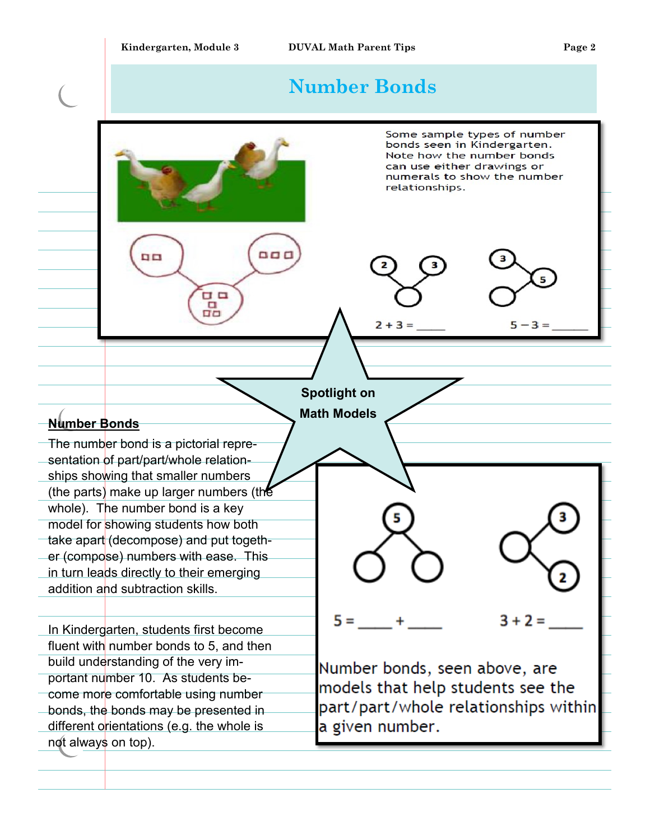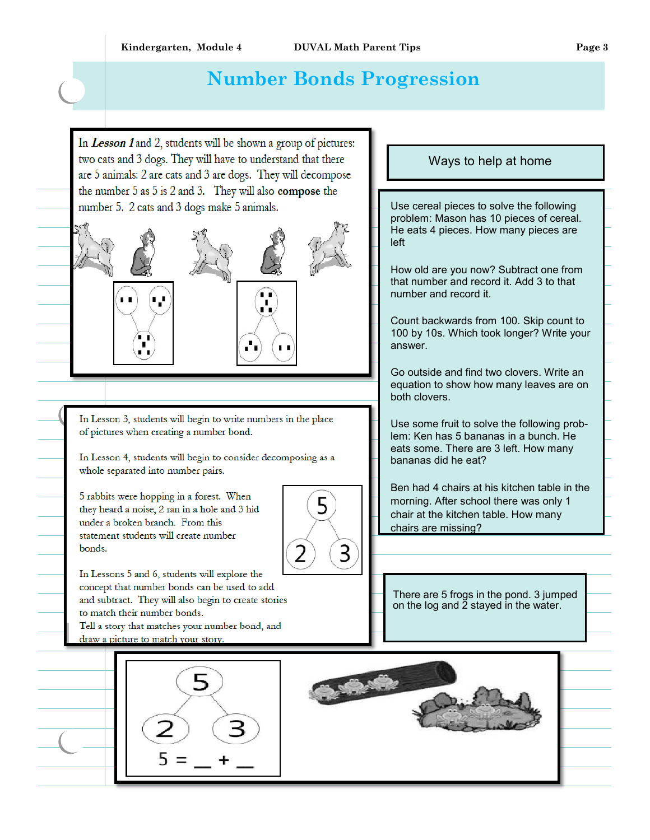## **Number Bonds Progression**

In Lesson 1 and 2, students will be shown a group of pictures: two cats and 3 dogs. They will have to understand that there are 5 animals: 2 are cats and 3 are dogs. They will decompose the number  $5$  as  $5$  is  $2$  and  $3$ . They will also compose the number 5. 2 cats and 3 dogs make 5 animals.







In Lesson 3, students will begin to write numbers in the place of pictures when creating a number bond.

In Lesson 4, students will begin to consider decomposing as a whole separated into number pairs. highlight a new

5 rabbits were hopping in a forest. When they heard a noise, 2 ran in a hole and 3 hid under a broken branch. From this<br>statement students will create number bonds.



In Lessons 5 and 6, students will explore the concept that number bonds can be used to add and subtract. They will also begin to create stories to match their number bonds.

Tell a story that matches your number bond, and draw a picture to match your story.





There are 5 frogs in the pond. 3 jumped on the log and 2 stayed in the water.